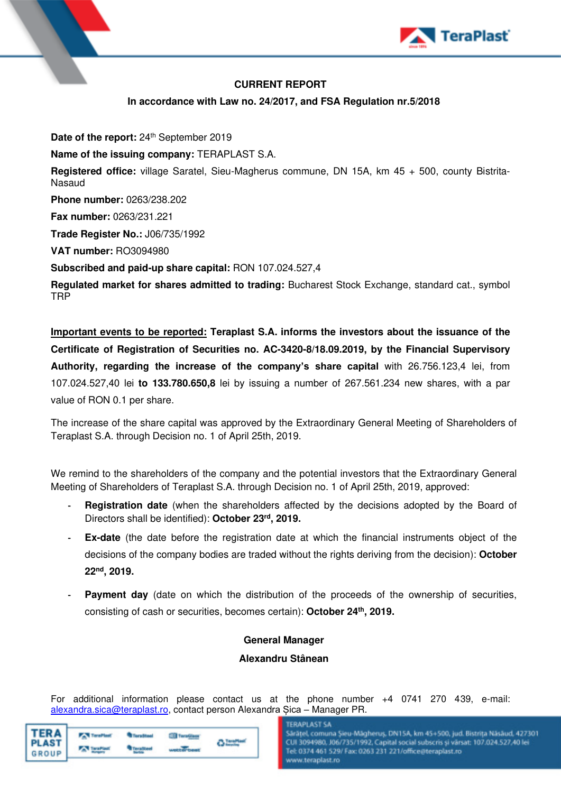

#### **CURRENT REPORT**

**In accordance with Law no. 24/2017, and FSA Regulation nr.5/2018** 

Date of the report: 24<sup>th</sup> September 2019

**Name of the issuing company:** TERAPLAST S.A.

**Registered office:** village Saratel, Sieu-Magherus commune, DN 15A, km 45 + 500, county Bistrita-Nasaud

**Phone number:** 0263/238.202

**Fax number:** 0263/231.221

**Trade Register No.:** J06/735/1992

**VAT number:** RO3094980

**Subscribed and paid-up share capital:** RON 107.024.527,4

**Regulated market for shares admitted to trading: Bucharest Stock Exchange, standard cat., symbol** TRP

**Important events to be reported: Teraplast S.A. informs the investors about the issuance of the Certificate of Registration of Securities no. AC-3420-8/18.09.2019, by the Financial Supervisory Authority, regarding the increase of the company's share capital** with 26.756.123,4 lei, from 107.024.527,40 lei **to 133.780.650,8** lei by issuing a number of 267.561.234 new shares, with a par value of RON 0.1 per share.

The increase of the share capital was approved by the Extraordinary General Meeting of Shareholders of Teraplast S.A. through Decision no. 1 of April 25th, 2019.

We remind to the shareholders of the company and the potential investors that the Extraordinary General Meeting of Shareholders of Teraplast S.A. through Decision no. 1 of April 25th, 2019, approved:

- **- Registration date** (when the shareholders affected by the decisions adopted by the Board of Directors shall be identified): **October 23rd , 2019.**
- **- Ex-date** (the date before the registration date at which the financial instruments object of the decisions of the company bodies are traded without the rights deriving from the decision): **October 22nd , 2019.**
- **- Payment day** (date on which the distribution of the proceeds of the ownership of securities, consisting of cash or securities, becomes certain): **October 24th , 2019.**

#### **General Manager**

#### **Alexandru Stânean**

For additional information please contact us at the phone number +4 0741 270 439, e-mail: [alexandra.sica@teraplast.ro,](mailto:alexandra.sica@teraplast.ro) contact person Alexandra Sica – Manager PR.

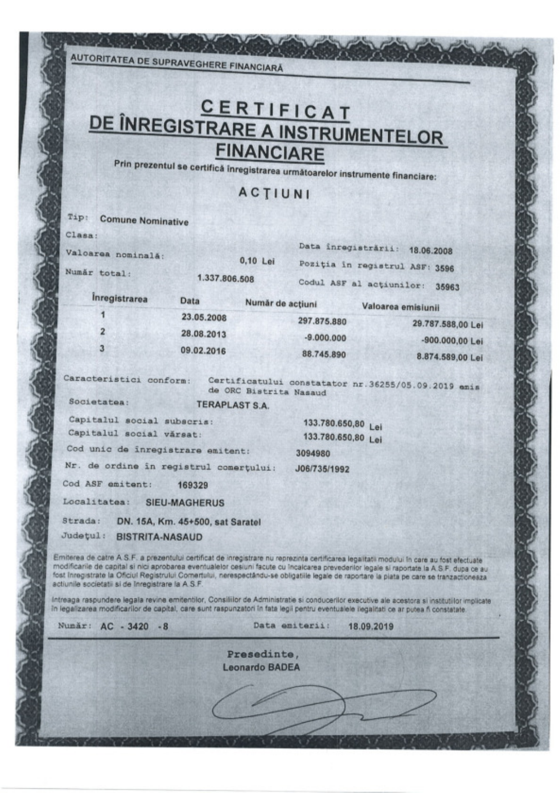AUTORITATEA DE SUPRAVEGHERE FINANCIARĂ

## DE ÎNREGISTRARE A INSTRUMENTELOR **FINANCIARE**

Prin prezentul se certifică inregistrarea următoarelor instrumente financiare:

**ACTIUNI** 

| <b>Comune Nominative</b><br>1,337,806.508<br>Data<br>23.05.2008<br>28.08.2013<br>09.02.2016<br>Caracteristici conform:<br><b>TERAPLAST S.A.</b><br>Capitalul social subscris:<br>Capitalul social vărsat:<br>Cod unic de inregistrare emitent:<br>Nr. de ordine in registrul comertului: | 0,10 Lei<br>Număr de acțiuni<br>de ORC Bistrita Nasaud | Codul ASF al actiunilor:<br>297,875.880<br>$-9.000.000$<br>88.745.890<br>133.780.650,80<br>Lei<br>133.780.650,80 Lei | Data inregistrării: 18.06.2008<br>Poziția în registrul ASF: 3596<br>35963<br>Valoarea emisiunii<br>29.787.588,00 Lei<br>-900.000,00 Lei<br>8.874.589,00 Lei<br>Certificatului constatator nr. 36255/05.09.2019 emis                                                                                                                                                                                                                                                                                                                                                                                                                                                                                                                              |  |  |
|------------------------------------------------------------------------------------------------------------------------------------------------------------------------------------------------------------------------------------------------------------------------------------------|--------------------------------------------------------|----------------------------------------------------------------------------------------------------------------------|--------------------------------------------------------------------------------------------------------------------------------------------------------------------------------------------------------------------------------------------------------------------------------------------------------------------------------------------------------------------------------------------------------------------------------------------------------------------------------------------------------------------------------------------------------------------------------------------------------------------------------------------------------------------------------------------------------------------------------------------------|--|--|
|                                                                                                                                                                                                                                                                                          |                                                        |                                                                                                                      |                                                                                                                                                                                                                                                                                                                                                                                                                                                                                                                                                                                                                                                                                                                                                  |  |  |
|                                                                                                                                                                                                                                                                                          |                                                        |                                                                                                                      |                                                                                                                                                                                                                                                                                                                                                                                                                                                                                                                                                                                                                                                                                                                                                  |  |  |
|                                                                                                                                                                                                                                                                                          |                                                        |                                                                                                                      |                                                                                                                                                                                                                                                                                                                                                                                                                                                                                                                                                                                                                                                                                                                                                  |  |  |
|                                                                                                                                                                                                                                                                                          |                                                        |                                                                                                                      |                                                                                                                                                                                                                                                                                                                                                                                                                                                                                                                                                                                                                                                                                                                                                  |  |  |
|                                                                                                                                                                                                                                                                                          |                                                        |                                                                                                                      |                                                                                                                                                                                                                                                                                                                                                                                                                                                                                                                                                                                                                                                                                                                                                  |  |  |
|                                                                                                                                                                                                                                                                                          |                                                        |                                                                                                                      |                                                                                                                                                                                                                                                                                                                                                                                                                                                                                                                                                                                                                                                                                                                                                  |  |  |
|                                                                                                                                                                                                                                                                                          |                                                        |                                                                                                                      |                                                                                                                                                                                                                                                                                                                                                                                                                                                                                                                                                                                                                                                                                                                                                  |  |  |
|                                                                                                                                                                                                                                                                                          |                                                        |                                                                                                                      |                                                                                                                                                                                                                                                                                                                                                                                                                                                                                                                                                                                                                                                                                                                                                  |  |  |
|                                                                                                                                                                                                                                                                                          |                                                        |                                                                                                                      |                                                                                                                                                                                                                                                                                                                                                                                                                                                                                                                                                                                                                                                                                                                                                  |  |  |
|                                                                                                                                                                                                                                                                                          |                                                        |                                                                                                                      |                                                                                                                                                                                                                                                                                                                                                                                                                                                                                                                                                                                                                                                                                                                                                  |  |  |
|                                                                                                                                                                                                                                                                                          |                                                        |                                                                                                                      |                                                                                                                                                                                                                                                                                                                                                                                                                                                                                                                                                                                                                                                                                                                                                  |  |  |
|                                                                                                                                                                                                                                                                                          |                                                        |                                                                                                                      |                                                                                                                                                                                                                                                                                                                                                                                                                                                                                                                                                                                                                                                                                                                                                  |  |  |
|                                                                                                                                                                                                                                                                                          |                                                        |                                                                                                                      |                                                                                                                                                                                                                                                                                                                                                                                                                                                                                                                                                                                                                                                                                                                                                  |  |  |
|                                                                                                                                                                                                                                                                                          |                                                        | 3094980                                                                                                              |                                                                                                                                                                                                                                                                                                                                                                                                                                                                                                                                                                                                                                                                                                                                                  |  |  |
|                                                                                                                                                                                                                                                                                          |                                                        | J06/735/1992                                                                                                         |                                                                                                                                                                                                                                                                                                                                                                                                                                                                                                                                                                                                                                                                                                                                                  |  |  |
| 169329                                                                                                                                                                                                                                                                                   |                                                        |                                                                                                                      |                                                                                                                                                                                                                                                                                                                                                                                                                                                                                                                                                                                                                                                                                                                                                  |  |  |
| <b>SIEU-MAGHERUS</b>                                                                                                                                                                                                                                                                     |                                                        |                                                                                                                      |                                                                                                                                                                                                                                                                                                                                                                                                                                                                                                                                                                                                                                                                                                                                                  |  |  |
|                                                                                                                                                                                                                                                                                          |                                                        |                                                                                                                      |                                                                                                                                                                                                                                                                                                                                                                                                                                                                                                                                                                                                                                                                                                                                                  |  |  |
| <b>BISTRITA-NASAUD</b>                                                                                                                                                                                                                                                                   |                                                        |                                                                                                                      |                                                                                                                                                                                                                                                                                                                                                                                                                                                                                                                                                                                                                                                                                                                                                  |  |  |
| actiunile societatii si de Inregistrare la A.S.F.                                                                                                                                                                                                                                        |                                                        |                                                                                                                      |                                                                                                                                                                                                                                                                                                                                                                                                                                                                                                                                                                                                                                                                                                                                                  |  |  |
|                                                                                                                                                                                                                                                                                          |                                                        |                                                                                                                      |                                                                                                                                                                                                                                                                                                                                                                                                                                                                                                                                                                                                                                                                                                                                                  |  |  |
|                                                                                                                                                                                                                                                                                          |                                                        | 18.09.2019                                                                                                           |                                                                                                                                                                                                                                                                                                                                                                                                                                                                                                                                                                                                                                                                                                                                                  |  |  |
|                                                                                                                                                                                                                                                                                          |                                                        |                                                                                                                      |                                                                                                                                                                                                                                                                                                                                                                                                                                                                                                                                                                                                                                                                                                                                                  |  |  |
|                                                                                                                                                                                                                                                                                          |                                                        | DN. 15A, Km. 45+500, sat Saratel<br>Presedinte,<br><b>Leonardo BADEA</b>                                             | Emiterea de catre A.S.F. a prezentului certificat de inregistrare nu reprezinta certificarea legalitatii modului în care au fost efectuate<br>modificarile de capital si nici aprobarea eventualelor cesiuni facute cu încalcarea prevederilor legale si raportate la A.S.F. dupa ce au<br>fost inregistrate la Oficiul Registrului Comertului, nerespectându-se obligatiile legale de raportare la piata pe care se tranzactioneaza<br>intreaga raspundere legala revine emitentilor, Consiliilor de Administratie si conducerilor executive ale acestora si institutilor implicate<br>n legalizarea modificarilor de capital, care sunt raspunzatori în fata legii pentru eventualele liegalitati ce ar putea fi constatate.<br>Data emiterii: |  |  |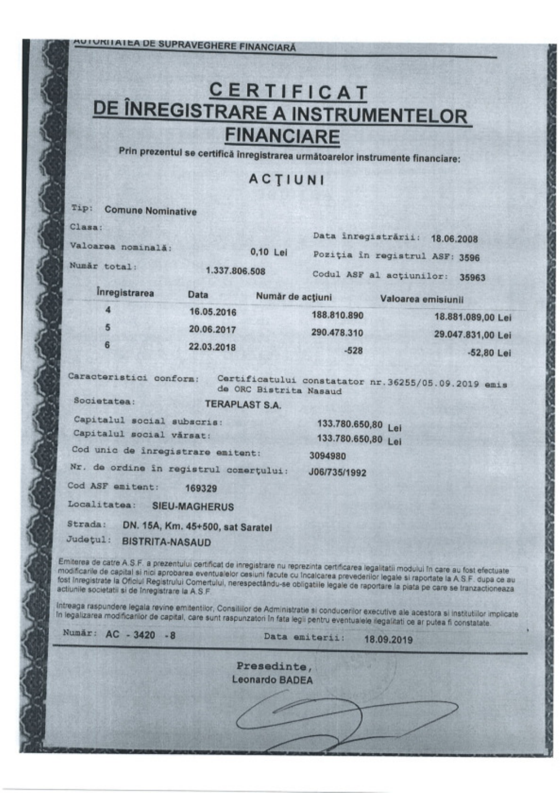AUTURITATEA DE SUPRAVEGHERE FINANCIARĂ

#### **CERTIFICAT** DE ÎNREGISTRARE A INSTRUMENTELOR **FINANCIARE**

Prin prezentul se certifică înregistrarea următoarelor instrumente financiare:

#### **ACTIUNI**

#### Tip: **Comune Nominative** Clasa: Data înregistrării: 18.06.2008 Valoarea nominală: 0,10 Lei Poziția în registrul ASF: 3596 Număr total: 1.337.806.508 Codul ASF al actiunilor: 35963 **Inregistrarea Data** Număr de acțiuni Valoarea emisiunii  $\overline{4}$ 16.05.2016 188.810.890 5 20.06.2017 290.478.310

22.03.2018

Caracteristici conform:

Certificatului constatator nr.36255/05.09.2019 emis de ORC Bistrita Nasaud

133.780.650,80 Lei

133.780.650,80 Lei

3094980

J06/735/1992

 $-528$ 

18.881.089,00 Lei

29.047.831,00 Lei

 $-52,80$  Lei

Societatea:

e

**TERAPLAST S.A.** 

Capitalul social subscris: Capitalul social vărsat: Cod unic de inregistrare emitent:

Nr. de ordine în registrul comerțului:

Cod ASF emitent: 169329

Localitatea: SIEU-MAGHERUS

Strada: DN. 15A, Km. 45+500, sat Saratel

Județul: BISTRITA-NASAUD

Emiterea de catre A.S.F. a prezentului certificat de inregistrare nu reprezinta certificarea legalitatii modului în care au fost efectuate modificarile de capital si nici aprobarea eventualelor cesiuni facute cu Incalcarea prevederilor legale si raportate la A.S.F. dupa ce au fost Inregistrate la Oficiul Registrului Comertului, nerespectându-se obligatile legale de raportare la piata pe care se tranzactioneaza actiunile societatii si de înregistrare la A.S.F.

Intreaga raspundere legala revine emitentilor, Consilillor de Administratie si conducerilor executive ale acestora si institutilor implicate In legalizarea modificanior de capital, care sunt raspunzatori în fata legii pentru eventualele ilegalitati ce ar putea fi constatate.

| Presedinte,<br><b>Leonardo BADEA</b> |
|--------------------------------------|
|                                      |
|                                      |
|                                      |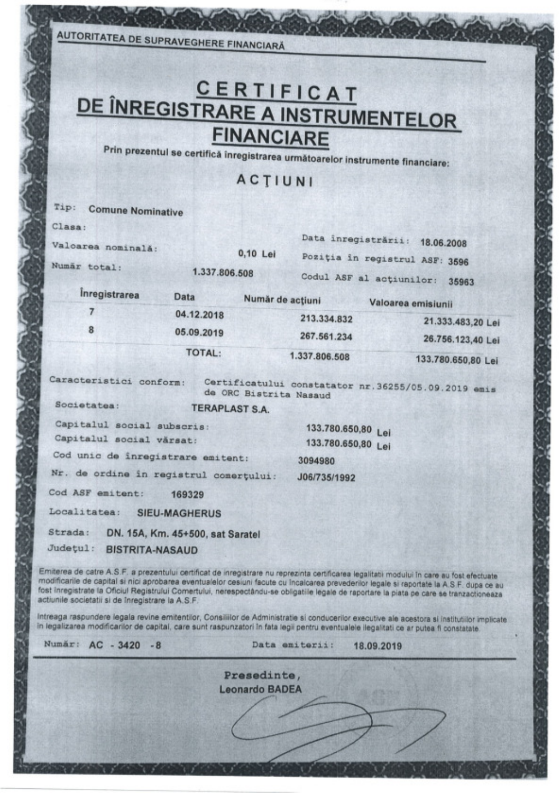**AUTORITATEA DE SUPRAVEGHERE FINANCIARĂ** 

# <u>CERTIFICAT</u><br>DE ÎNREGISTRARE A INSTRUMENTELOR<br>EINANCIARE

Prin prezentul se certifică înregistrarea următoarelor instrumente financiare:

ACTIUNI

| Tip:<br><b>Comune Nominative</b>                  |                                  |                        |                                                                                                                                                                                                                                                                                                                                                                                                                                     |                    |  |  |
|---------------------------------------------------|----------------------------------|------------------------|-------------------------------------------------------------------------------------------------------------------------------------------------------------------------------------------------------------------------------------------------------------------------------------------------------------------------------------------------------------------------------------------------------------------------------------|--------------------|--|--|
| Clasa:                                            |                                  |                        |                                                                                                                                                                                                                                                                                                                                                                                                                                     |                    |  |  |
| Valoarea nominalá:                                |                                  |                        | Data inregistrării: 18.06.2008                                                                                                                                                                                                                                                                                                                                                                                                      |                    |  |  |
| Numär total:                                      |                                  | 0.10 Lei               | Poziția în registrul ASF: 3596                                                                                                                                                                                                                                                                                                                                                                                                      |                    |  |  |
|                                                   | 1.337.806.508                    |                        | Codul ASF al actiunilor:                                                                                                                                                                                                                                                                                                                                                                                                            | 35963              |  |  |
| Inregistrarea                                     | Data                             | Număr de acțiuni       | Valoarea emisiunii                                                                                                                                                                                                                                                                                                                                                                                                                  |                    |  |  |
| 7                                                 | 04.12.2018                       |                        | 213.334.832                                                                                                                                                                                                                                                                                                                                                                                                                         |                    |  |  |
| 8                                                 | 05.09.2019                       |                        | 267.561.234                                                                                                                                                                                                                                                                                                                                                                                                                         | 21.333.483,20 Lei  |  |  |
|                                                   | <b>TOTAL:</b>                    |                        |                                                                                                                                                                                                                                                                                                                                                                                                                                     | 26.756.123,40 Lei  |  |  |
|                                                   |                                  |                        | 1.337.806.508                                                                                                                                                                                                                                                                                                                                                                                                                       | 133.780.650,80 Lei |  |  |
| Caracteristici conform:                           |                                  | de ORC Bistrita Nasaud | Certificatului constatator nr. 36255/05.09.2019 emis                                                                                                                                                                                                                                                                                                                                                                                |                    |  |  |
| Societatea:                                       | <b>TERAPLAST S.A.</b>            |                        |                                                                                                                                                                                                                                                                                                                                                                                                                                     |                    |  |  |
| Capitalul social subscris:                        |                                  |                        | 133.780.650,80 Lei                                                                                                                                                                                                                                                                                                                                                                                                                  |                    |  |  |
| Capitalul social vărsat:                          |                                  |                        | 133.780.650,80 Lei                                                                                                                                                                                                                                                                                                                                                                                                                  |                    |  |  |
| Cod unic de inregistrare emitent:                 |                                  |                        | 3094980                                                                                                                                                                                                                                                                                                                                                                                                                             |                    |  |  |
| Nr. de ordine în registrul comerțului:            |                                  |                        | J06/735/1992                                                                                                                                                                                                                                                                                                                                                                                                                        |                    |  |  |
| Cod ASF emitent:                                  | 169329                           |                        |                                                                                                                                                                                                                                                                                                                                                                                                                                     |                    |  |  |
| Localitatea:                                      | <b>SIEU-MAGHERUS</b>             |                        |                                                                                                                                                                                                                                                                                                                                                                                                                                     |                    |  |  |
| Strada:                                           |                                  |                        |                                                                                                                                                                                                                                                                                                                                                                                                                                     |                    |  |  |
| Județul:<br><b>BISTRITA-NASAUD</b>                | DN. 15A, Km. 45+500, sat Saratel |                        |                                                                                                                                                                                                                                                                                                                                                                                                                                     |                    |  |  |
|                                                   |                                  |                        |                                                                                                                                                                                                                                                                                                                                                                                                                                     |                    |  |  |
| actiunile societatii si de înregistrare la A.S.F. |                                  |                        | Emiterea de catre A.S.F. a prezentului certificat de inregistrare nu reprezinta certificarea legalitatii modului în care au fost efectuate<br>modificarile de capital si nici aprobarea eventualelor cesiuni facute cu încalcarea prevederilor legale si raportate la A.S.F. dupa ce au<br>lost inregistrate la Oficiul Registrului Comertului, nerespectându-se obligatile legale de raportare la piata pe care se tranzactioneaza |                    |  |  |
|                                                   |                                  |                        | ntreaga raspundere legala revine emitentilor, Consiliilor de Administratie si conducerilor executive ale acestora si institutiilor implicate<br>n legalizarea modificarilor de capital, care sunt raspunzatori în fata legii pentru eventualele ilegalitati ce ar putea fi constatate.                                                                                                                                              |                    |  |  |
| Număr: AC - 3420 - 8                              |                                  |                        | Data emiterii:<br>18.09.2019                                                                                                                                                                                                                                                                                                                                                                                                        |                    |  |  |
|                                                   |                                  | Presedinte,            |                                                                                                                                                                                                                                                                                                                                                                                                                                     |                    |  |  |
|                                                   |                                  | <b>Leonardo BADEA</b>  |                                                                                                                                                                                                                                                                                                                                                                                                                                     |                    |  |  |
|                                                   |                                  |                        |                                                                                                                                                                                                                                                                                                                                                                                                                                     |                    |  |  |
|                                                   |                                  |                        |                                                                                                                                                                                                                                                                                                                                                                                                                                     |                    |  |  |
|                                                   |                                  |                        |                                                                                                                                                                                                                                                                                                                                                                                                                                     |                    |  |  |
|                                                   |                                  |                        |                                                                                                                                                                                                                                                                                                                                                                                                                                     |                    |  |  |